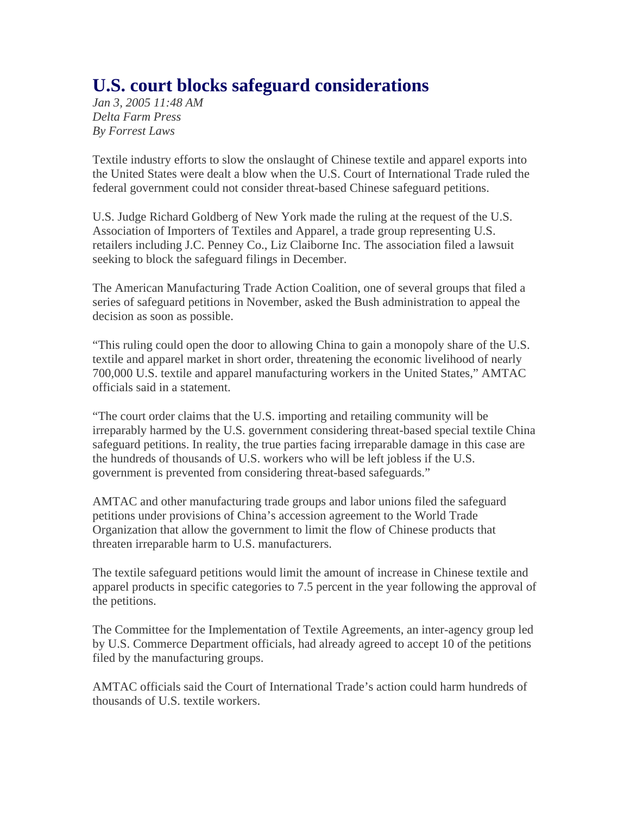## **U.S. court blocks safeguard considerations**

*Jan 3, 2005 11:48 AM Delta Farm Press By Forrest Laws* 

Textile industry efforts to slow the onslaught of Chinese textile and apparel exports into the United States were dealt a blow when the U.S. Court of International Trade ruled the federal government could not consider threat-based Chinese safeguard petitions.

U.S. Judge Richard Goldberg of New York made the ruling at the request of the U.S. Association of Importers of Textiles and Apparel, a trade group representing U.S. retailers including J.C. Penney Co., Liz Claiborne Inc. The association filed a lawsuit seeking to block the safeguard filings in December.

The American Manufacturing Trade Action Coalition, one of several groups that filed a series of safeguard petitions in November, asked the Bush administration to appeal the decision as soon as possible.

"This ruling could open the door to allowing China to gain a monopoly share of the U.S. textile and apparel market in short order, threatening the economic livelihood of nearly 700,000 U.S. textile and apparel manufacturing workers in the United States," AMTAC officials said in a statement.

"The court order claims that the U.S. importing and retailing community will be irreparably harmed by the U.S. government considering threat-based special textile China safeguard petitions. In reality, the true parties facing irreparable damage in this case are the hundreds of thousands of U.S. workers who will be left jobless if the U.S. government is prevented from considering threat-based safeguards."

AMTAC and other manufacturing trade groups and labor unions filed the safeguard petitions under provisions of China's accession agreement to the World Trade Organization that allow the government to limit the flow of Chinese products that threaten irreparable harm to U.S. manufacturers.

The textile safeguard petitions would limit the amount of increase in Chinese textile and apparel products in specific categories to 7.5 percent in the year following the approval of the petitions.

The Committee for the Implementation of Textile Agreements, an inter-agency group led by U.S. Commerce Department officials, had already agreed to accept 10 of the petitions filed by the manufacturing groups.

AMTAC officials said the Court of International Trade's action could harm hundreds of thousands of U.S. textile workers.